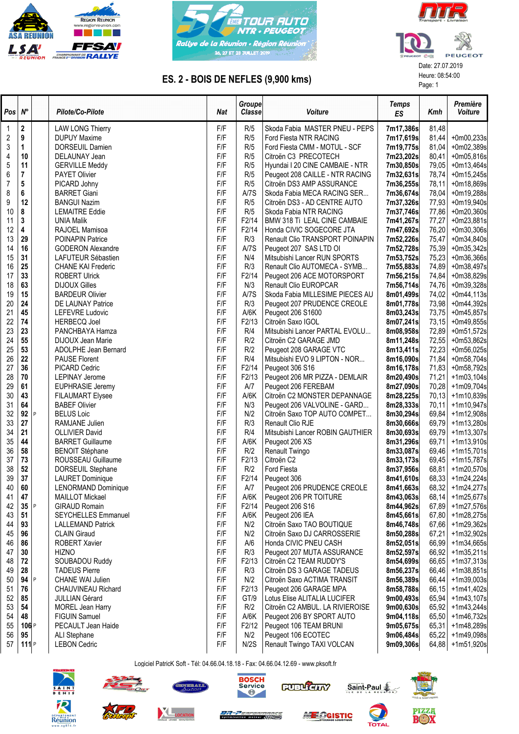





## ES. 2 - BOIS DE NEFLES (9,900 kms)<br>
Page: 1

| $Pos \, N^{\circ}$ |                  |   | Pilote/Co-Pilote           | <b>Nat</b> | Groupe<br>Classe   | Voiture                          | <b>Temps</b><br>ES | Kmh   | Première<br>Voiture |
|--------------------|------------------|---|----------------------------|------------|--------------------|----------------------------------|--------------------|-------|---------------------|
| $\mathbf 1$        | 2                |   | <b>LAW LONG Thierry</b>    | F/F        | R/5                | Skoda Fabia MASTER PNEU - PEPS   | 7m17,386s          | 81,48 |                     |
| $\overline{c}$     | 9                |   | <b>DUPUY Maxime</b>        | F/F        | R/5                | Ford Fiesta NTR RACING           | 7m17,619s          | 81,44 | +0m00,233s          |
| $\sqrt{3}$         | 1                |   | DORSEUIL Damien            | F/F        | R/5                | Ford Fiesta CMM - MOTUL - SCF    | 7m19,775s          | 81,04 | +0m02,389s          |
| 4                  | 10               |   | DELAUNAY Jean              | F/F        | R/5                | Citroën C3 PRECOTECH             | 7m23,202s          | 80,41 | +0m05,816s          |
| 5                  | 11               |   | <b>GERVILLE Meddy</b>      | F/F        | R/5                | Hyundai I 20 CINE CAMBAIE - NTR  | 7m30,850s          | 79,05 | +0m13,464s          |
| 6                  | 7                |   | PAYET Olivier              | F/F        | R/5                | Peugeot 208 CAILLE - NTR RACING  | 7m32,631s          | 78,74 | $+0m15,245s$        |
| $\overline{7}$     | 5                |   | PICARD Johny               | F/F        | R/5                | Citroën DS3 AMP ASSURANCE        | 7m36,255s          | 78,11 | +0m18,869s          |
| 8                  | 6                |   | <b>BARRET Giani</b>        | F/F        | A/7S               | Skoda Fabia MECA RACING SER      | 7m36,674s          | 78,04 | +0m19,288s          |
| 9                  | 12               |   | <b>BANGUI Nazim</b>        | F/F        | R/5                | Citroën DS3 - AD CENTRE AUTO     | 7m37,326s          | 77,93 | +0m19,940s          |
| 10                 | 8                |   | <b>LEMAITRE Eddie</b>      | F/F        | R/5                | Skoda Fabia NTR RACING           | 7m37,746s          | 77,86 | +0m20,360s          |
| 11                 | 3                |   | UNIA Malik                 | F/F        | F2/14              | BMW 318 Ti LEAL CINE CAMBAIE     | 7m41,267s          | 77,27 | $+0m23,881s$        |
| 12                 | 4                |   | RAJOEL Mamisoa             | F/F        | F <sub>2</sub> /14 | Honda CIVIC SOGECORE JTA         | 7m47,692s          | 76,20 | +0m30,306s          |
| 13                 | 29               |   | POINAPIN Patrice           | F/F        | R/3                | Renault Clio TRANSPORT POINAPIN  | 7m52,226s          | 75,47 | +0m34,840s          |
| 14                 | 16               |   | <b>GODERON Alexandre</b>   | F/F        | A/7S               | Peugeot 207 SAS LTD OI           | 7m52,728s          | 75,39 | +0m35,342s          |
| 15                 | 31               |   | LAFUTEUR Sébastien         | F/F        | N/4                | Mitsubishi Lancer RUN SPORTS     | 7m53,752s          | 75,23 | $+0m36,366s$        |
| 16                 | 25               |   | <b>CHANE KAI Frederic</b>  | F/F        | R/3                | Renault Clio AUTOMECA - SYMB     | 7m55,883s          | 74,89 | +0m38,497s          |
| 17                 | 33               |   | <b>ROBERT Ulrick</b>       | F/F        | F <sub>2</sub> /14 | Peugeot 206 ACE MOTORSPORT       | 7m56,215s          | 74,84 | +0m38,829s          |
| 18                 | 63               |   | <b>DIJOUX Gilles</b>       | F/F        | N/3                | Renault Clio EUROPCAR            | 7m56,714s          | 74,76 | +0m39,328s          |
| 19                 | 15               |   | <b>BARDEUR Olivier</b>     | F/F        | A/7S               | Skoda Fabia MILLESIME PIECES AU  | 8m01,499s          | 74,02 | $+0m44,113s$        |
| 20                 | 24               |   | DE LAUNAY Patrice          | F/F        | R/3                | Peugeot 207 PRUDENCE CREOLE      | 8m01,778s          | 73,98 | +0m44,392s          |
| 21                 | 45               |   | LEFEVRE Ludovic            | F/F        | A/6K               | Peugeot 206 S1600                | 8m03,243s          | 73,75 | +0m45,857s          |
| 22                 | 74               |   | <b>HERBECQ Joel</b>        | F/F        | F <sub>2</sub> /13 | Citroën Saxo IGOL                | 8m07,241s          | 73,15 | +0m49,855s          |
| 23                 | 23               |   | PANCHBAYA Hamza            | F/F        | R/4                | Mitsubishi Lancer PARTAL EVOLU   | 8m08,958s          | 72,89 | +0m51,572s          |
| 24                 | 55               |   | DIJOUX Jean Marie          | F/F        | R/2                | Citroën C2 GARAGE JMD            | 8m11,248s          | 72,55 | $+0m53,862s$        |
| 25                 | 53               |   | ADOLPHE Jean Bernard       | F/F        | R/2                | Peugeot 208 GARAGE VTC           | 8m13,411s          | 72,23 | +0m56,025s          |
| 26                 | 22               |   | PAUSE Florent              | F/F        | R/4                | Mitsubishi EVO 9 LIPTON - NOR    | 8m16,090s          | 71,84 | +0m58,704s          |
| 27                 | 36               |   | PICARD Cedric              | F/F        | F2/14              | Peugeot 306 S16                  | 8m16,178s          | 71,83 | +0m58,792s          |
| 28                 | 70               |   | <b>LEPINAY Jerome</b>      | F/F        | F2/13              | Peugeot 206 MR PIZZA - DEMLAIR   | 8m20,490s          | 71,21 | $+1m03,104s$        |
| 29                 | 61               |   | <b>EUPHRASIE Jeremy</b>    | F/F        | A/7                | Peugeot 206 FEREBAM              | 8m27,090s          | 70,28 | +1m09,704s          |
| 30                 | 43               |   | <b>FILAUMART Elysee</b>    | F/F        | A/6K               | Citroën C2 MONSTER DEPANNAGE     | 8m28,225s          | 70,13 | +1m10,839s          |
| 31                 | 64               |   | <b>BABEF Olivier</b>       | F/F        | N/3                | Peugeot 206 VALVOLINE - GARD     | 8m28,333s          | 70,11 | +1m10,947s          |
| 32                 | 92               | P | <b>BELUS Loic</b>          | F/F        | N/2                | Citroën Saxo TOP AUTO COMPET     | 8m30,294s          | 69,84 | +1m12,908s          |
| 33                 | 27               |   | RAMJANE Julien             | F/F        | R/3                | Renault Clio RJE                 | 8m30,666s          | 69,79 | +1m13,280s          |
| 34                 | 21               |   | <b>OLLIVIER David</b>      | F/F        | R/4                | Mitsubishi Lancer ROBIN GAUTHIER | 8m30,693s          | 69,79 | $+1m13,307s$        |
| 35                 | 44               |   | <b>BARRET Guillaume</b>    | F/F        | A/6K               | Peugeot 206 XS                   | 8m31,296s          | 69,71 | $+1m13,910s$        |
| 36                 | 58               |   | <b>BENOIT Stéphane</b>     | F/F        | R/2                | Renault Twingo                   | 8m33,087s          | 69,46 | +1m15,701s          |
| 37                 | 73               |   | ROUSSEAU Guillaume         | F/F        | F2/13              | Citroën C2                       | 8m33,173s          | 69,45 | +1m15,787s          |
| 38                 | 52               |   | DORSEUIL Stephane          | F/F        | R/2                | Ford Fiesta                      | 8m37,956s          | 68,81 | +1m20,570s          |
| 39                 | 37               |   | <b>LAURET Dominique</b>    | F/F        | F <sub>2</sub> /14 | Peugeot 306                      | 8m41,610s          | 68,33 | +1m24,224s          |
| 40                 | 60               |   | LENORMAND Dominique        | F/F        | A/7                | Peugeot 206 PRUDENCE CREOLE      | 8m41,663s          | 68,32 | +1m24,277s          |
| 41                 | 47               |   | <b>MAILLOT Mickael</b>     | F/F        | A/6K               | Peugeot 206 PR TOITURE           | 8m43,063s          | 68,14 | +1m25,677s          |
| 42                 | 35               | P | <b>GIRAUD Romain</b>       | F/F        | F <sub>2</sub> /14 | Peugeot 206 S16                  | 8m44,962s          | 67,89 | +1m27,576s          |
| 43                 | 51               |   | <b>SEYCHELLES Emmanuel</b> | F/F        | A/6K               | Peugeot 206 IEA                  | 8m45,661s          | 67,80 | +1m28,275s          |
| 44                 | 93               |   | <b>LALLEMAND Patrick</b>   | F/F        | N/2                | Citroën Saxo TAO BOUTIQUE        | 8m46,748s          | 67,66 | +1m29,362s          |
| 45                 | 96               |   | <b>CLAIN Giraud</b>        | F/F        | N/2                | Citroën Saxo DJ CARROSSERIE      | 8m50,288s          | 67,21 | +1m32,902s          |
| 46                 | 86               |   | <b>ROBERT Xavier</b>       | F/F        | A/6                | Honda CIVIC PNEU CASH            | 8m52,051s          | 66,99 | +1m34,665s          |
| 47                 | 30               |   | <b>HIZNO</b>               | F/F        | R/3                | Peugeot 207 MUTA ASSURANCE       | 8m52,597s          | 66,92 | $+1m35,211s$        |
| 48                 | 72               |   | SOUBADOU Ruddy             | F/F        | F2/13              | Citroën C2 TEAM RUDDY'S          | 8m54,699s          | 66,65 | $+1m37,313s$        |
| 49                 | 28               |   | <b>TADEUS Pierre</b>       | F/F        | R/3                | Citroën DS 3 GARAGE TADEUS       | 8m56,237s          | 66,46 | $+1m38,851s$        |
| 50                 | 94               | P | <b>CHANE WAI Julien</b>    | F/F        | N/2                | Citroën Saxo ACTIMA TRANSIT      | 8m56,389s          | 66,44 | +1m39,003s          |
| 51                 | 76               |   | <b>CHAUVINEAU Richard</b>  | F/F        | F <sub>2</sub> /13 | Peugeot 206 GARAGE MPA           | 8m58,788s          | 66,15 | +1m41,402s          |
| 52                 | 85               |   | <b>JULLIAN Gérard</b>      | F/F        | GT/9               | Lotus Elise ALITALIA LUCIFER     | 9m00,493s          | 65,94 | +1m43,107s          |
| 53                 | 54               |   | MOREL Jean Harry           | F/F        | R/2                | Citroën C2 AMBUL. LA RIVIEROISE  | 9m00,630s          | 65,92 | $+1m43,244s$        |
| 54                 | 48               |   | <b>FIGUIN Samuel</b>       | F/F        | A/6K               | Peugeot 206 BY SPORT AUTO        | 9m04,118s          | 65,50 | +1m46,732s          |
| 55                 | 106 <sub>P</sub> |   | PECAULT Jean Haide         | F/F        | F <sub>2</sub> /12 | Peugeot 106 TEAM BRUNI           | 9m05,675s          | 65,31 | +1m48,289s          |
| 56                 | 95               |   | ALI Stephane               | F/F        | N/2                | Peugeot 106 ECOTEC               | 9m06,484s          | 65,22 | +1m49,098s          |
| 57                 | 111P             |   | <b>LEBON Cedric</b>        | F/F        | N/2S               | Renault Twingo TAXI VOLCAN       | 9m09,306s          | 64,88 | +1m51,920s          |

Logiciel PatricK Soft - Tél: 04.66.04.18.18 - Fax: 04.66.04.12.69 - www.pksoft.fr





**XL** 











Saint-Paul